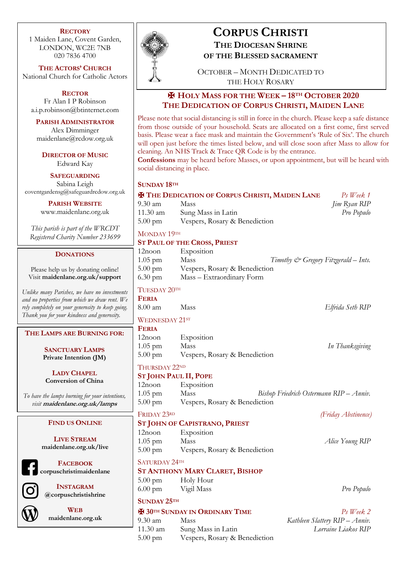### **RECTORY**

1 Maiden Lane, Covent Garden, LONDON, WC2E 7NB 020 7836 4700

**THE ACTORS' CHURCH** National Church for Catholic Actors

> **RECTOR** Fr Alan I P Robinson

a.i.p.robinson@btinternet.com

**PARISH ADMINISTRATOR** Alex Dimminger maidenlane@rcdow.org.uk

**DIRECTOR OF MUSIC** Edward Kay

**SAFEGUARDING** Sabina Leigh coventgardensg@safeguardrcdow.org.uk

**PARISH WEBSITE**

www.maidenlane.org.uk

*This parish is part of the WRCDT Registered Charity Number 233699*

### **DONATIONS**

Please help us by donating online! Visit **maidenlane.org.uk/support**

*Unlike many Parishes, we have no investments and no properties from which we draw rent. We rely completely on your generosity to keep going. Thank you for your kindness and generosity.* 

**THE LAMPS ARE BURNING FOR:**

**SANCTUARY LAMPS Private Intention (JM)**

**LADY CHAPEL Conversion of China**

*To have the lamps burning for your intentions, visit* **maidenlane.org.uk/lamps**

### **FIND US ONLINE**

**LIVE STREAM maidenlane.org.uk/live**



**FACEBOOK corpuschristimaidenlane**

**INSTAGRAM @corpuschristishrine**



**WEB maidenlane.org.uk**



# **CORPUS CHRISTI THE DIOCESAN SHRINE**

OCTOBER – MONTH DEDICATED TO THE HOLY ROSARY

**OF THE BLESSED SACRAMENT**

✠ **HOLY MASS FOR THE WEEK – 18TH OCTOBER 2020 THE DEDICATION OF CORPUS CHRISTI, MAIDEN LANE**

Please note that social distancing is still in force in the church. Please keep a safe distance from those outside of your household. Seats are allocated on a first come, first served basis. Please wear a face mask and maintain the Government's 'Rule of Six'. The church will open just before the times listed below, and will close soon after Mass to allow for cleaning. An NHS Track & Trace QR Code is by the entrance.

**Confessions** may be heard before Masses, or upon appointment, but will be heard with social distancing in place.

### **SUNDAY 18TH**

|                                     | Ps Week 1                                                                                                                                                        |
|-------------------------------------|------------------------------------------------------------------------------------------------------------------------------------------------------------------|
| Mass                                | <i>Jim Ryan RIP</i>                                                                                                                                              |
| Sung Mass in Latin                  | Pro Populo                                                                                                                                                       |
|                                     |                                                                                                                                                                  |
| MONDAY 19TH                         |                                                                                                                                                                  |
| <b>ST PAUL OF THE CROSS, PRIEST</b> |                                                                                                                                                                  |
| Exposition                          |                                                                                                                                                                  |
| Mass                                |                                                                                                                                                                  |
|                                     |                                                                                                                                                                  |
| Mass - Extraordinary Form           |                                                                                                                                                                  |
|                                     | <b>E THE DEDICATION OF CORPUS CHRISTI, MAIDEN LANE</b><br>Vespers, Rosary & Benediction<br>Timothy & Gregory Fitzgerald - Ints.<br>Vespers, Rosary & Benediction |

#### TUESDAY 20TH

**FERIA**

WEDNESDAY 21st

| <b>FERIA</b>      |                               |                 |
|-------------------|-------------------------------|-----------------|
| $12$ noon         | Exposition                    |                 |
| $1.05$ pm         | Mass                          | In Thanksgiving |
| $5.00 \text{ pm}$ | Vespers, Rosary & Benediction |                 |

8.00 am Mass *Elfrida Seth RIP*

THURSDAY 22ND

- **ST JOHN PAUL II, POPE** Exposition
- 1.05 pm Mass *Bishop Friedrich Ostermann RIP – Anniv.* 5.00 pm Vespers, Rosary & Benediction

# FRIDAY 23RD *(Friday Abstinence)*

## **ST JOHN OF CAPISTRANO, PRIEST**

12noon Exposition 1.05 pm Mass *Alice Young RIP* 5.00 pm Vespers, Rosary & Benediction

SATURDAY 24TH

- **ST ANTHONY MARY CLARET, BISHOP**
- 5.00 pm Holy Hour 6.00 pm Vigil Mass *Pro Populo*

## **SUNDAY 25TH**

✠ **30TH SUNDAY IN ORDINARY TIME** *Ps Week 2*

5.00 pm Vespers, Rosary & Benediction

9.30 am Mass *Kathleen Slattery RIP – Anniv.* 11.30 am Sung Mass in Latin *Lorraine Liakos RIP*